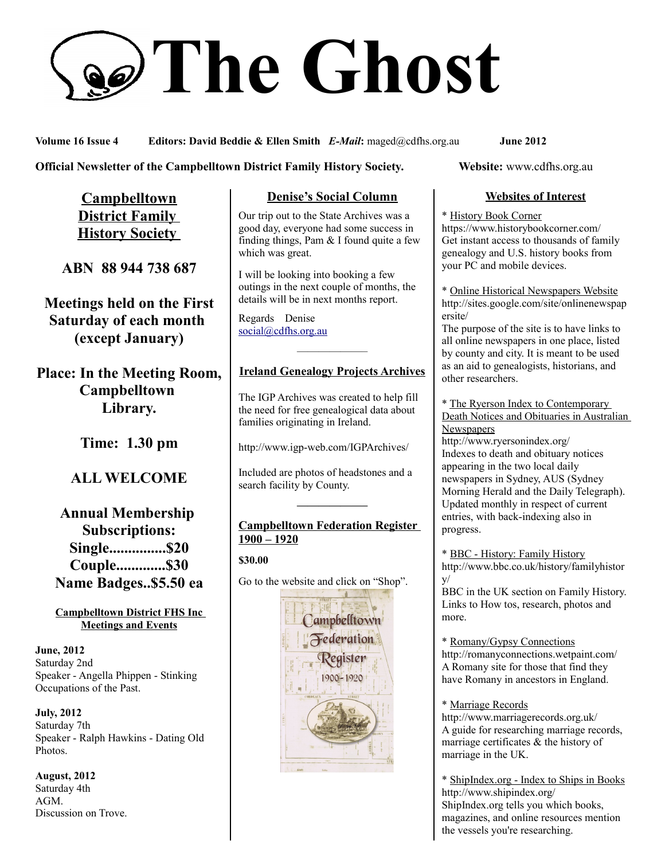# **The Ghost**

**Volume 16 Issue 4 Editors: David Beddie & Ellen Smith** *E-Mail***:** maged@cdfhs.org.au **June 2012**

## **Official Newsletter of the Campbelltown District Family History Society. Website: www.cdfhs.org.au**

**Campbelltown District Family History Society** 

**ABN 88 944 738 687**

**Meetings held on the First Saturday of each month (except January)**

**Place: In the Meeting Room, Campbelltown Library.**

**Time: 1.30 pm**

# **ALL WELCOME**

**Annual Membership Subscriptions: Single...............\$20 Couple.............\$30 Name Badges..\$5.50 ea**

#### **Campbelltown District FHS Inc Meetings and Events**

**June, 2012** Saturday 2nd Speaker - Angella Phippen - Stinking Occupations of the Past.

**July, 2012** Saturday 7th Speaker - Ralph Hawkins - Dating Old Photos.

**August, 2012** Saturday 4th AGM. Discussion on Trove.

# **Denise's Social Column**

Our trip out to the State Archives was a good day, everyone had some success in finding things, Pam  $&$  I found quite a few which was great.

I will be looking into booking a few outings in the next couple of months, the details will be in next months report.

Regards Denise [social@cdfhs.org.au](mailto:social@cdfhs.org.au)

# ——————– **Ireland Genealogy Projects Archives**

The IGP Archives was created to help fill the need for free genealogical data about families originating in Ireland.

http://www.igp-web.com/IGPArchives/

Included are photos of headstones and a search facility by County.

## **Campbelltown Federation Register 1900 – 1920**

**——————–**

### **\$30.00**

Go to the website and click on "Shop".



## **Websites of Interest**

#### \* History Book Corner

https://www.historybookcorner.com/ Get instant access to thousands of family genealogy and U.S. history books from your PC and mobile devices.

\* Online Historical Newspapers Website http://sites.google.com/site/onlinenewspap ersite/

The purpose of the site is to have links to all online newspapers in one place, listed by county and city. It is meant to be used as an aid to genealogists, historians, and other researchers.

\* The Ryerson Index to Contemporary Death Notices and Obituaries in Australian **Newspapers** 

http://www.ryersonindex.org/ Indexes to death and obituary notices appearing in the two local daily newspapers in Sydney, AUS (Sydney Morning Herald and the Daily Telegraph). Updated monthly in respect of current entries, with back-indexing also in progress.

\* BBC - History: Family History http://www.bbc.co.uk/history/familyhistor y/ BBC in the UK section on Family History.

Links to How tos, research, photos and more.

\* Romany/Gypsy Connections http://romanyconnections.wetpaint.com/ A Romany site for those that find they have Romany in ancestors in England.

\* Marriage Records http://www.marriagerecords.org.uk/ A guide for researching marriage records, marriage certificates & the history of marriage in the UK.

\* ShipIndex.org - Index to Ships in Books http://www.shipindex.org/ ShipIndex.org tells you which books, magazines, and online resources mention the vessels you're researching.